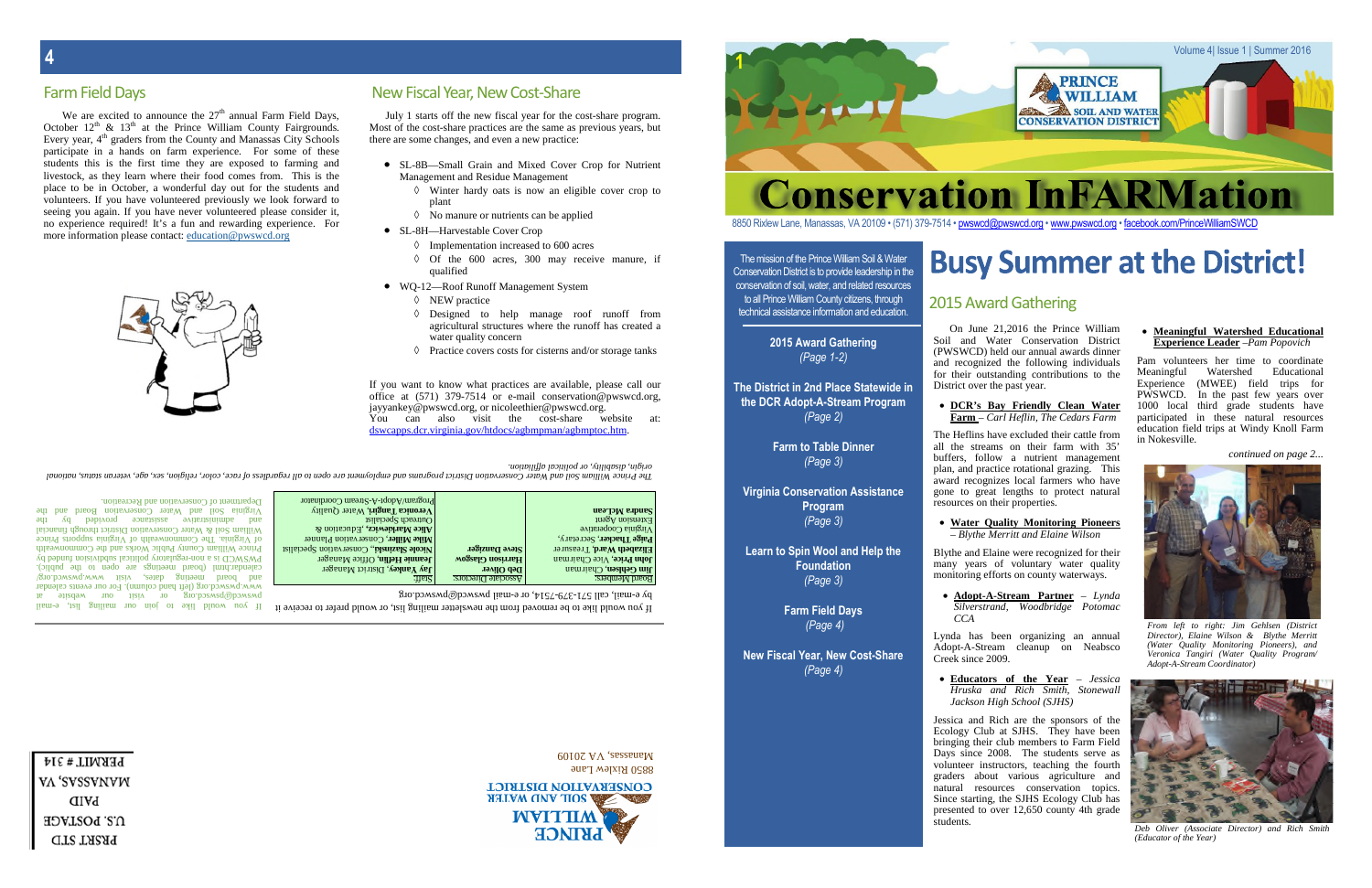PERMIT#314 VA 'SVSSVNVW **PAID** U.S. POSTAGE **PRSRT STD** 



It you would like to be removed from the newsletter mailing list, or would prefer to receive it

R1210 R1XIew Lane

**CONSERVATION DISTRICT AHTAW QUA AIOR** 

 $60102$  AV, assema $M$ 

We are excited to announce the  $27<sup>th</sup>$  annual Farm Field Days, October  $12<sup>th</sup>$  &  $13<sup>th</sup>$  at the Prince William County Fairgrounds. Every year,  $4<sup>th</sup>$  graders from the County and Manassas City Schools participate in a hands on farm experience. For some of these students this is the first time they are exposed to farming and livestock, as they learn where their food comes from. This is the place to be in October, a wonderful day out for the students and volunteers. If you have volunteered previously we look forward to seeing you again. If you have never volunteered please consider it, no experience required! It's a fun and rewarding experience. For more information please contact: education@pwswcd.org

> The mission of the Prince William Soil & Water Conservation District is to provide leadership in the conservation of soil, water, and related resources to all Prince William County citizens, through technical assistance information and education.

> > **2015 Award Gathering** *(Page 1-2)*

**The District in 2nd Place Statewide in the DCR Adopt-A-Stream Program**

*(Page 2)* **Farm to Table Dinner** *(Page 3)*

**Virginia Conservation Assistance Program** *(Page 3)*

**Learn to Spin Wool and Help the Foundation** *(Page 3)*

> **Farm Field Days** *(Page 4)*

**New Fiscal Year, New Cost-Share** *(Page 4)*

On June 21,2016 the Prince William Soil and Water Conservation District (PWSWCD) held our annual awards dinner and recognized the following individuals for their outstanding contributions to the District over the past year.

**DCR's Bay Friendly Clean Water**

# **Farm** – *Carl Heflin, The Cedars Farm*

The Heflins have excluded their cattle from all the streams on their farm with 35' buffers, follow a nutrient management plan, and practice rotational grazing. This award recognizes local farmers who have gone to great lengths to protect natural resources on their properties.

**Water Quality Monitoring Pioneers**

– *Blythe Merritt and Elaine Wilson* Blythe and Elaine were recognized for their many years of voluntary water quality monitoring efforts on county waterways.

 **Adopt-A-Stream Partner** – *Lynda Silverstrand, Woodbridge Potomac*

*CCA*

Lynda has been organizing an annual Adopt-A-Stream cleanup on Neabsco Creek since 2009.

 $p_A$  e-mail, call 571-379-7514, or e-mail pwswcd@pwswa.org :ffat S :sr ot ceri Det ai coss A :sreb me MdraoB

**1im Gehlsen, Charman Revilled Beb Oliver <b>reviews Jankey** District Manager **regance Meansier Chairman Heiar Heilich Childe Manager Reduce Alamager**  $\frac{1}{2}$  **Elizabeth Ward**, Treasurer  $\frac{1}{2}$  **Steve Danager** Trans **Equation**  $\frac{1}{2}$  **Example 2 Example 2 Example 2 Example 2 Example 2 Example 2 Example 2 Example 2 Example 2 Example 2 Example 2** *MIKE* **Miller**, **Conservation** Planner  $\mathbf{W}$  **height are** *k* **z** *k* **z** *k* **z** *k z z <i>k* **z** *k z z <i>k* **z** *k z z <i>k k z <i>x k z <i>x x x x*  $\mathbf{W}$  *x*  $\mathbf{W}$  *x*  $\mathbf{W}$  *x*  $\mathbf{W}$  *x* htreach Specialist **here normalism normalism normalism normalism normalism normalism normalism normalism normalism normalism normalism normalism normalism normalism normalism normalism normalism normalism** 

Program/Adopt-A-Stream Coordinator

lism-9 ,tsil gnilism no niol ot exil bluow uoy fl b webared of a right with ont webare in the correct of www.pwswcd.org (left hand column). For our events calendar  $\beta$ 10 postq www. weight was well as  $\beta$  or  $\beta$  and  $\beta$  and  $\beta$  and  $\beta$  and  $\beta$  and  $\beta$  are measured. calendar.html (board meetings are open to the public). PWSWGD is a non-regulatory political acitivity and the by valued by Prince William County Public Works and the Commonwealth ecnie Prince Commonwealth of Virginia supports Prince William Soil & Water Conservation District through financial eht yen vor papurus vor bude op papurus o $\lambda$ eht dna dr ao B noit avresno C ret <sup>a</sup> W dna li oS ai ni gri V Department of Conservation and Recreation.



 **Educators of the Year** – *Jessica Hruska and Rich Smith, Stonewall Jackson High School (SJHS)*

Jessica and Rich are the sponsors of the Ecology Club at SJHS. They have been bringing their club members to Farm Field Days since 2008. The students serve as volunteer instructors, teaching the fourth graders about various agriculture and natural resources conservation topics. Since starting, the SJHS Ecology Club has presented to over 12,650 county 4th grade students.

8850 Rixlew Lane, Manassas, VA 20109 • (571) 379-7514 • pwswcd@pwswcd.org • www.pwswcd.org • facebook.com/PrinceWilliamSWCD

# **Busy Summer at the District!**

### **Meaningful Watershed Educational Experience Leader** –*Pam Popovich*

- SL-8B—Small Grain and Mixed Cover Crop for Nutrient Management and Residue Management
	- $\Diamond$  Winter hardy oats is now an eligible cover crop to plant
	- $\Diamond$  No manure or nutrients can be applied
- SL-8H—Harvestable Cover Crop
	- $\Diamond$  Implementation increased to 600 acres
	- $\Diamond$  Of the 600 acres, 300 may receive manure, if qualified
- WQ-12—Roof Runoff Management System
	- $\Diamond$  NEW practice
	- Designed to help manage roof runoff from agricultural structures where the runoff has created a water quality concern
	- $\Diamond$  Practice covers costs for cisterns and/or storage tanks

Pam volunteers her time to coordinate Meaningful Watershed Educational Experience (MWEE) field trips for PWSWCD. In the past few years over 1000 local third grade students have participated in these natural resources education field trips at Windy Knoll Farm in Nokesville.

*continued on page 2...*

You can also visit the cost-share website at: dswcapps.dcr.virginia.gov/htdocs/agbmpman/agbmptoc.htm.

*. noit ailiff al acitil op ro, ytili basi d, ni giro*

The Prince William Soil and Water Conservation District programs and employment are open of the self of regardless of race, color, activis, as a age, veterina and which and the regardless of refusive, and the regardless of

 $1036$  uorsua $1025$ 

Virginia Cooperative

**Paige Thacker, Secretary,** 

# 2015 Award Gathering

**1**





*From left to right: Jim Gehlsen (District Director), Elaine Wilson & Blythe Merritt (Water Quality Monitoring Pioneers), and Veronica Tangiri (Water Quality Program/ Adopt-A-Stream Coordinator)*



*Deb Oliver (Associate Director) and Rich Smith (Educator of the Year)*

Farm Field Days

July 1 starts off the new fiscal year for the cost-share program. Most of the cost-share practices are the same as previous years, but there are some changes, and even a new practice:

If you want to know what practices are available, please call our office at (571) 379-7514 or e-mail conservation@pwswcd.org, jayyankey@pwswcd.org, or nicoleethier@pwswcd.org.

# New Fiscal Year, New Cost-Share

**4**